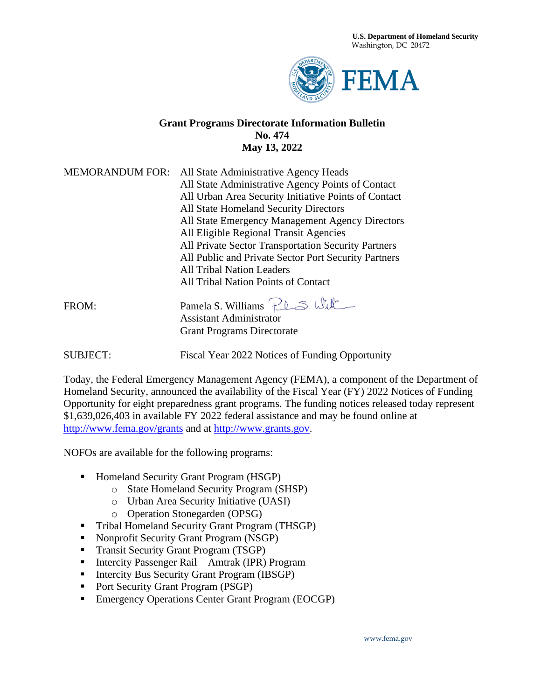**U.S. Department of Homeland Security**  Washington, DC 20472



#### **Grant Programs Directorate Information Bulletin No. 474 May 13, 2022**

| <b>MEMORANDUM FOR:</b> | All State Administrative Agency Heads                |
|------------------------|------------------------------------------------------|
|                        | All State Administrative Agency Points of Contact    |
|                        | All Urban Area Security Initiative Points of Contact |
|                        | All State Homeland Security Directors                |
|                        | All State Emergency Management Agency Directors      |
|                        | All Eligible Regional Transit Agencies               |
|                        | All Private Sector Transportation Security Partners  |
|                        | All Public and Private Sector Port Security Partners |
|                        | All Tribal Nation Leaders                            |
|                        | All Tribal Nation Points of Contact                  |
| FROM:                  | Pamela S. Williams Plas. Will                        |
|                        | <b>Assistant Administrator</b>                       |
|                        | <b>Grant Programs Directorate</b>                    |

SUBJECT: Fiscal Year 2022 Notices of Funding Opportunity

Today, the Federal Emergency Management Agency (FEMA), a component of the Department of Homeland Security, announced the availability of the Fiscal Year (FY) 2022 Notices of Funding Opportunity for eight preparedness grant programs. The funding notices released today represent \$1,639,026,403 in available FY 2022 federal assistance and may be found online at <http://www.fema.gov/grants> and at [http://www.grants.gov.](http://www.grants.gov/)

NOFOs are available for the following programs:

- Homeland Security Grant Program (HSGP)
	- o State Homeland Security Program (SHSP)
	- o Urban Area Security Initiative (UASI)
	- o Operation Stonegarden (OPSG)
- **•** Tribal Homeland Security Grant Program (THSGP)
- Nonprofit Security Grant Program (NSGP)
- **•** Transit Security Grant Program (TSGP)
- Intercity Passenger Rail Amtrak (IPR) Program
- **EXECUTE:** Intercity Bus Security Grant Program (IBSGP)
- Port Security Grant Program (PSGP)
- Emergency Operations Center Grant Program (EOCGP)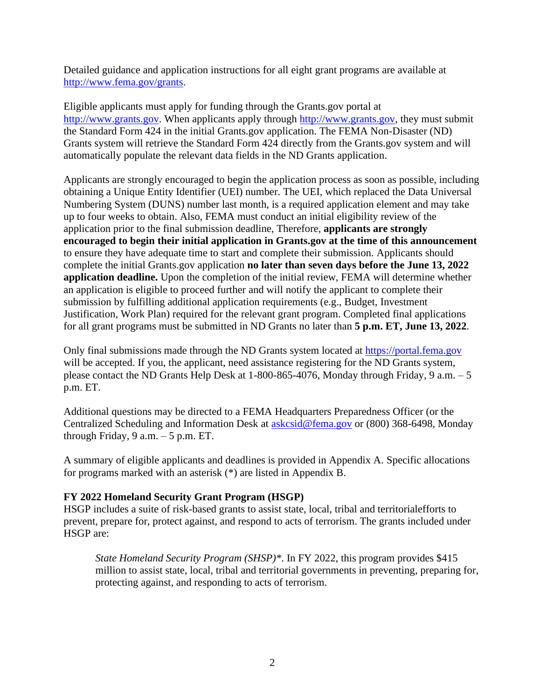Detailed guidance and application instructions for all eight grant programs are available at [http://www.fema.gov/grants.](http://www.fema.gov/grants)

Eligible applicants must apply for funding through the Grants.gov portal at [http://www.grants.gov.](http://www.grants.gov/) When applicants apply through [http://www.grants.gov,](http://www.grants.gov/) they must submit the Standard Form 424 in the initial Grants.gov application. The FEMA Non-Disaster (ND) Grants system will retrieve the Standard Form 424 directly from the Grants.gov system and will automatically populate the relevant data fields in the ND Grants application.

Applicants are strongly encouraged to begin the application process as soon as possible, including obtaining a Unique Entity Identifier (UEI) number. The UEI, which replaced the Data Universal Numbering System (DUNS) number last month, is a required application element and may take up to four weeks to obtain. Also, FEMA must conduct an initial eligibility review of the application prior to the final submission deadline, Therefore, **applicants are strongly encouraged to begin their initial application in Grants.gov at the time of this announcement**  to ensure they have adequate time to start and complete their submission. Applicants should complete the initial Grants.gov application **no later than seven days before the June 13, 2022 application deadline.** Upon the completion of the initial review, FEMA will determine whether an application is eligible to proceed further and will notify the applicant to complete their submission by fulfilling additional application requirements (e.g., Budget, Investment Justification, Work Plan) required for the relevant grant program. Completed final applications for all grant programs must be submitted in ND Grants no later than **5 p.m. ET, June 13, 2022**.

Only final submissions made through the ND Grants system located at [https://portal.fema.gov](https://portal.fema.gov/) will be accepted. If you, the applicant, need assistance registering for the ND Grants system, please contact the ND Grants Help Desk at 1-800-865-4076, Monday through Friday, 9 a.m. – 5 p.m. ET.

Additional questions may be directed to a FEMA Headquarters Preparedness Officer (or the Centralized Scheduling and Information Desk at [askcsid@fema.gov](mailto:askcsid@fema.gov) or (800) 368-6498, Monday through Friday,  $9 a.m. - 5 p.m. ET.$ 

A summary of eligible applicants and deadlines is provided in Appendix A. Specific allocations for programs marked with an asterisk (\*) are listed in Appendix B.

#### **FY 2022 Homeland Security Grant Program (HSGP)**

HSGP includes a suite of risk-based grants to assist state, local, tribal and territorialefforts to prevent, prepare for, protect against, and respond to acts of terrorism. The grants included under HSGP are:

*State Homeland Security Program (SHSP)\**. In FY 2022, this program provides \$415 million to assist state, local, tribal and territorial governments in preventing, preparing for, protecting against, and responding to acts of terrorism.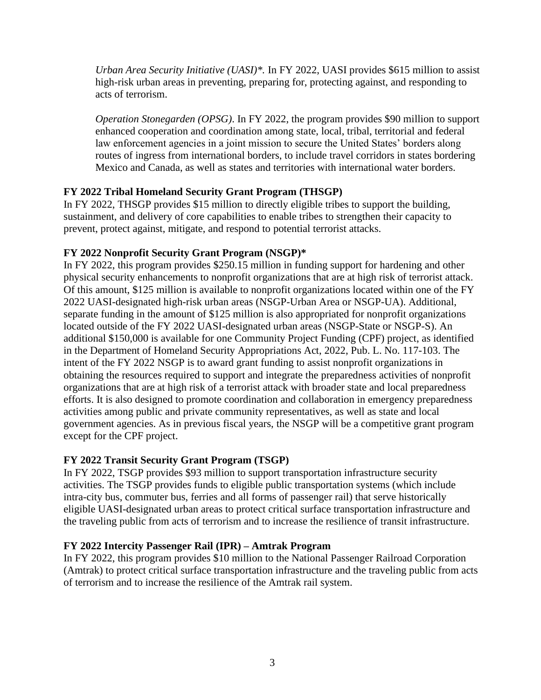*Urban Area Security Initiative (UASI)\*.* In FY 2022, UASI provides \$615 million to assist high-risk urban areas in preventing, preparing for, protecting against, and responding to acts of terrorism.

*Operation Stonegarden (OPSG)*. In FY 2022, the program provides \$90 million to support enhanced cooperation and coordination among state, local, tribal, territorial and federal law enforcement agencies in a joint mission to secure the United States' borders along routes of ingress from international borders, to include travel corridors in states bordering Mexico and Canada, as well as states and territories with international water borders.

#### **FY 2022 Tribal Homeland Security Grant Program (THSGP)**

In FY 2022, THSGP provides \$15 million to directly eligible tribes to support the building, sustainment, and delivery of core capabilities to enable tribes to strengthen their capacity to prevent, protect against, mitigate, and respond to potential terrorist attacks.

#### **FY 2022 Nonprofit Security Grant Program (NSGP)\***

In FY 2022, this program provides \$250.15 million in funding support for hardening and other physical security enhancements to nonprofit organizations that are at high risk of terrorist attack. Of this amount, \$125 million is available to nonprofit organizations located within one of the FY 2022 UASI-designated high-risk urban areas (NSGP-Urban Area or NSGP-UA). Additional, separate funding in the amount of \$125 million is also appropriated for nonprofit organizations located outside of the FY 2022 UASI-designated urban areas (NSGP-State or NSGP-S). An additional \$150,000 is available for one Community Project Funding (CPF) project, as identified in the Department of Homeland Security Appropriations Act, 2022, Pub. L. No. 117-103. The intent of the FY 2022 NSGP is to award grant funding to assist nonprofit organizations in obtaining the resources required to support and integrate the preparedness activities of nonprofit organizations that are at high risk of a terrorist attack with broader state and local preparedness efforts. It is also designed to promote coordination and collaboration in emergency preparedness activities among public and private community representatives, as well as state and local government agencies. As in previous fiscal years, the NSGP will be a competitive grant program except for the CPF project.

#### **FY 2022 Transit Security Grant Program (TSGP)**

In FY 2022, TSGP provides \$93 million to support transportation infrastructure security activities. The TSGP provides funds to eligible public transportation systems (which include intra-city bus, commuter bus, ferries and all forms of passenger rail) that serve historically eligible UASI-designated urban areas to protect critical surface transportation infrastructure and the traveling public from acts of terrorism and to increase the resilience of transit infrastructure.

#### **FY 2022 Intercity Passenger Rail (IPR) – Amtrak Program**

In FY 2022, this program provides \$10 million to the National Passenger Railroad Corporation (Amtrak) to protect critical surface transportation infrastructure and the traveling public from acts of terrorism and to increase the resilience of the Amtrak rail system.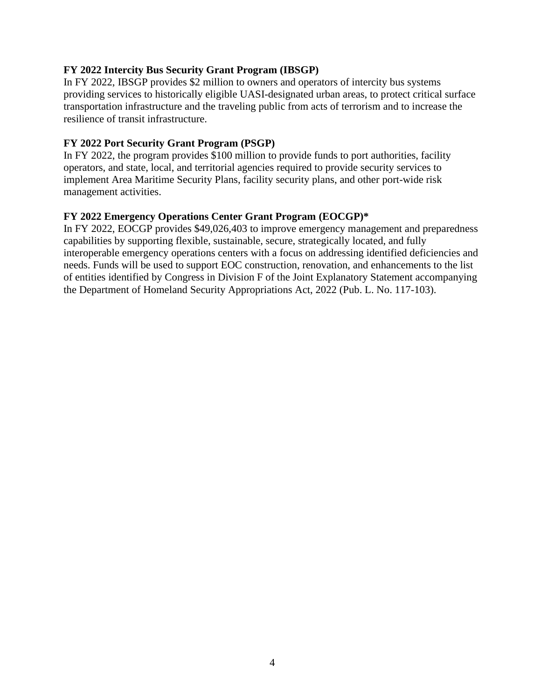#### **FY 2022 Intercity Bus Security Grant Program (IBSGP)**

In FY 2022, IBSGP provides \$2 million to owners and operators of intercity bus systems providing services to historically eligible UASI-designated urban areas, to protect critical surface transportation infrastructure and the traveling public from acts of terrorism and to increase the resilience of transit infrastructure.

#### **FY 2022 Port Security Grant Program (PSGP)**

In FY 2022, the program provides \$100 million to provide funds to port authorities, facility operators, and state, local, and territorial agencies required to provide security services to implement Area Maritime Security Plans, facility security plans, and other port-wide risk management activities.

#### **FY 2022 Emergency Operations Center Grant Program (EOCGP)\***

In FY 2022, EOCGP provides \$49,026,403 to improve emergency management and preparedness capabilities by supporting flexible, sustainable, secure, strategically located, and fully interoperable emergency operations centers with a focus on addressing identified deficiencies and needs. Funds will be used to support EOC construction, renovation, and enhancements to the list of entities identified by Congress in Division F of the Joint Explanatory Statement accompanying the Department of Homeland Security Appropriations Act, 2022 (Pub. L. No. 117-103).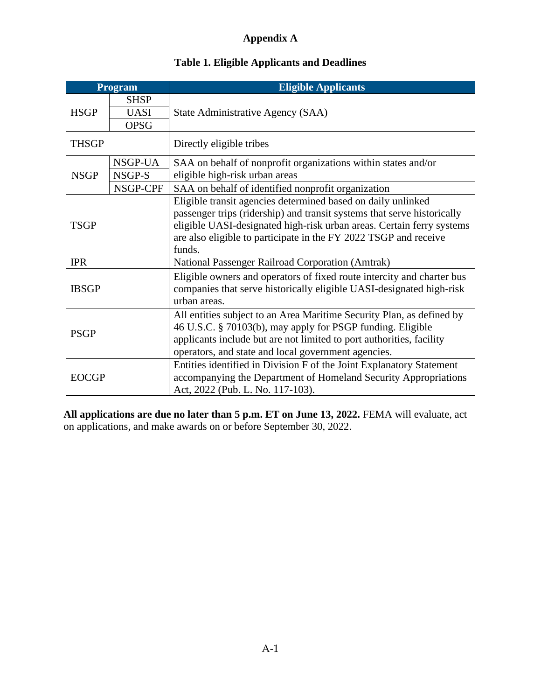# **Appendix A**

### **Table 1. Eligible Applicants and Deadlines**

|              | <b>Eligible Applicants</b><br>Program |                                                                                                                                                                |  |
|--------------|---------------------------------------|----------------------------------------------------------------------------------------------------------------------------------------------------------------|--|
| <b>SHSP</b>  |                                       |                                                                                                                                                                |  |
| <b>HSGP</b>  | <b>UASI</b>                           | State Administrative Agency (SAA)                                                                                                                              |  |
|              | <b>OPSG</b>                           |                                                                                                                                                                |  |
| <b>THSGP</b> |                                       | Directly eligible tribes                                                                                                                                       |  |
|              | NSGP-UA                               | SAA on behalf of nonprofit organizations within states and/or                                                                                                  |  |
| <b>NSGP</b>  | NSGP-S                                | eligible high-risk urban areas                                                                                                                                 |  |
|              | NSGP-CPF                              | SAA on behalf of identified nonprofit organization                                                                                                             |  |
|              |                                       | Eligible transit agencies determined based on daily unlinked                                                                                                   |  |
|              |                                       | passenger trips (ridership) and transit systems that serve historically                                                                                        |  |
| <b>TSGP</b>  |                                       | eligible UASI-designated high-risk urban areas. Certain ferry systems                                                                                          |  |
|              |                                       | are also eligible to participate in the FY 2022 TSGP and receive                                                                                               |  |
|              |                                       | funds.                                                                                                                                                         |  |
| <b>IPR</b>   |                                       | National Passenger Railroad Corporation (Amtrak)                                                                                                               |  |
| <b>IBSGP</b> |                                       | Eligible owners and operators of fixed route intercity and charter bus<br>companies that serve historically eligible UASI-designated high-risk<br>urban areas. |  |
|              |                                       | All entities subject to an Area Maritime Security Plan, as defined by                                                                                          |  |
|              |                                       | 46 U.S.C. § 70103(b), may apply for PSGP funding. Eligible                                                                                                     |  |
| <b>PSGP</b>  |                                       | applicants include but are not limited to port authorities, facility                                                                                           |  |
|              |                                       | operators, and state and local government agencies.                                                                                                            |  |
|              |                                       | Entities identified in Division F of the Joint Explanatory Statement                                                                                           |  |
| <b>EOCGP</b> |                                       | accompanying the Department of Homeland Security Appropriations                                                                                                |  |
|              |                                       | Act, 2022 (Pub. L. No. 117-103).                                                                                                                               |  |

**All applications are due no later than 5 p.m. ET on June 13, 2022.** FEMA will evaluate, act on applications, and make awards on or before September 30, 2022.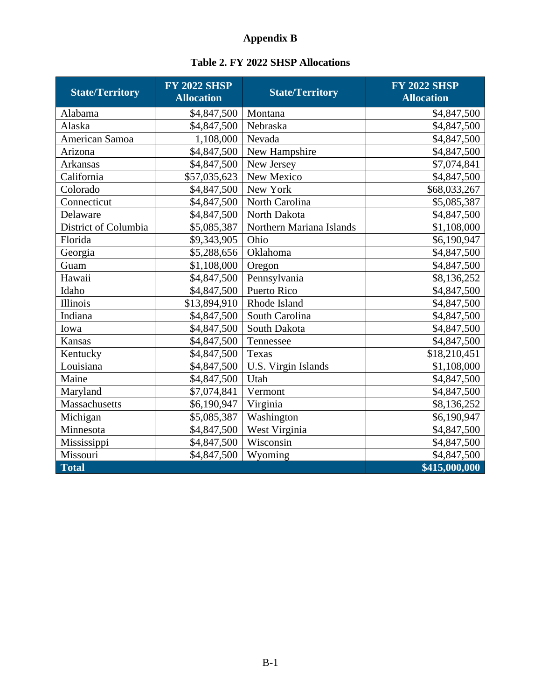# **Appendix B**

|  |  |  |  | <b>Table 2. FY 2022 SHSP Allocations</b> |
|--|--|--|--|------------------------------------------|
|--|--|--|--|------------------------------------------|

| <b>State/Territory</b> | <b>FY 2022 SHSP</b><br><b>Allocation</b> | <b>State/Territory</b>   | <b>FY 2022 SHSP</b><br><b>Allocation</b> |
|------------------------|------------------------------------------|--------------------------|------------------------------------------|
| Alabama                | \$4,847,500                              | Montana                  | \$4,847,500                              |
| Alaska                 | \$4,847,500                              | Nebraska                 | \$4,847,500                              |
| American Samoa         | 1,108,000                                | Nevada                   | \$4,847,500                              |
| Arizona                | \$4,847,500                              | New Hampshire            | \$4,847,500                              |
| Arkansas               | \$4,847,500                              | New Jersey               | \$7,074,841                              |
| California             | \$57,035,623                             | New Mexico               | \$4,847,500                              |
| Colorado               | \$4,847,500                              | New York                 | \$68,033,267                             |
| Connecticut            | \$4,847,500                              | North Carolina           | \$5,085,387                              |
| Delaware               | \$4,847,500                              | North Dakota             | \$4,847,500                              |
| District of Columbia   | \$5,085,387                              | Northern Mariana Islands | \$1,108,000                              |
| Florida                | \$9,343,905                              | Ohio                     | \$6,190,947                              |
| Georgia                | \$5,288,656                              | Oklahoma                 | \$4,847,500                              |
| Guam                   | \$1,108,000                              | Oregon                   | \$4,847,500                              |
| Hawaii                 | \$4,847,500                              | Pennsylvania             | \$8,136,252                              |
| Idaho                  | \$4,847,500                              | Puerto Rico              | \$4,847,500                              |
| Illinois               | \$13,894,910                             | Rhode Island             | \$4,847,500                              |
| Indiana                | \$4,847,500                              | South Carolina           | \$4,847,500                              |
| Iowa                   | \$4,847,500                              | South Dakota             | \$4,847,500                              |
| Kansas                 | \$4,847,500                              | Tennessee                | \$4,847,500                              |
| Kentucky               | \$4,847,500                              | Texas                    | \$18,210,451                             |
| Louisiana              | \$4,847,500                              | U.S. Virgin Islands      | \$1,108,000                              |
| Maine                  | \$4,847,500                              | Utah                     | \$4,847,500                              |
| Maryland               | \$7,074,841                              | Vermont                  | \$4,847,500                              |
| Massachusetts          | \$6,190,947                              | Virginia                 | \$8,136,252                              |
| Michigan               | \$5,085,387                              | Washington               | \$6,190,947                              |
| Minnesota              | \$4,847,500                              | West Virginia            | \$4,847,500                              |
| Mississippi            | \$4,847,500                              | Wisconsin                | \$4,847,500                              |
| Missouri               | \$4,847,500                              | Wyoming                  | \$4,847,500                              |
| Total                  |                                          |                          | \$415,000,000                            |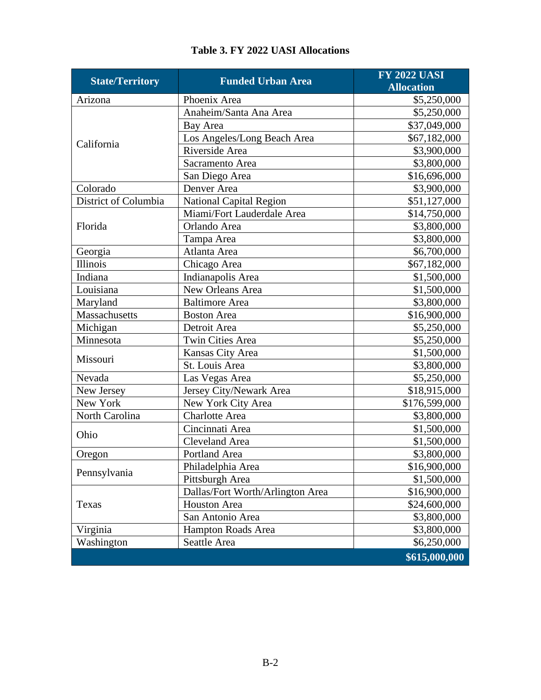| <b>State/Territory</b> | <b>Funded Urban Area</b>         | <b>FY 2022 UASI</b><br><b>Allocation</b> |
|------------------------|----------------------------------|------------------------------------------|
| Arizona                | Phoenix Area                     | \$5,250,000                              |
|                        | Anaheim/Santa Ana Area           | \$5,250,000                              |
|                        | Bay Area                         | \$37,049,000                             |
| California             | Los Angeles/Long Beach Area      | \$67,182,000                             |
|                        | Riverside Area                   | \$3,900,000                              |
|                        | Sacramento Area                  | \$3,800,000                              |
|                        | San Diego Area                   | \$16,696,000                             |
| Colorado               | Denver Area                      | \$3,900,000                              |
| District of Columbia   | <b>National Capital Region</b>   | \$51,127,000                             |
|                        | Miami/Fort Lauderdale Area       | \$14,750,000                             |
| Florida                | Orlando Area                     | \$3,800,000                              |
|                        | Tampa Area                       | \$3,800,000                              |
| Georgia                | Atlanta Area                     | \$6,700,000                              |
| Illinois               | Chicago Area                     | \$67,182,000                             |
| Indiana                | Indianapolis Area                | \$1,500,000                              |
| Louisiana              | New Orleans Area                 | \$1,500,000                              |
| Maryland               | <b>Baltimore</b> Area            | \$3,800,000                              |
| Massachusetts          | <b>Boston Area</b>               | \$16,900,000                             |
| Michigan               | Detroit Area                     | \$5,250,000                              |
| Minnesota              | <b>Twin Cities Area</b>          | \$5,250,000                              |
|                        | Kansas City Area                 | \$1,500,000                              |
| Missouri               | St. Louis Area                   | \$3,800,000                              |
| Nevada                 | Las Vegas Area                   | \$5,250,000                              |
| New Jersey             | Jersey City/Newark Area          | \$18,915,000                             |
| New York               | New York City Area               | \$176,599,000                            |
| North Carolina         | <b>Charlotte Area</b>            | \$3,800,000                              |
| Ohio                   | Cincinnati Area                  | \$1,500,000                              |
|                        | <b>Cleveland Area</b>            | \$1,500,000                              |
| Oregon                 | Portland Area                    | \$3,800,000                              |
| Pennsylvania           | Philadelphia Area                | \$16,900,000                             |
|                        | Pittsburgh Area                  | \$1,500,000                              |
|                        | Dallas/Fort Worth/Arlington Area | \$16,900,000                             |
| Texas                  | <b>Houston Area</b>              | \$24,600,000                             |
|                        | San Antonio Area                 | \$3,800,000                              |
| Virginia               | Hampton Roads Area               | \$3,800,000                              |
| Washington             | Seattle Area                     | \$6,250,000                              |
|                        |                                  | \$615,000,000                            |

### **Table 3. FY 2022 UASI Allocations**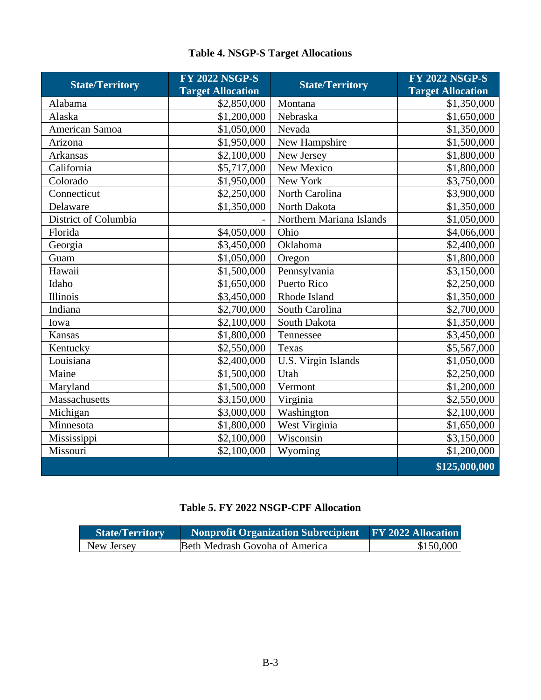### **Table 4. NSGP-S Target Allocations**

| <b>State/Territory</b> | <b>FY 2022 NSGP-S</b><br><b>Target Allocation</b> | <b>State/Territory</b>   | <b>FY 2022 NSGP-S</b><br><b>Target Allocation</b> |
|------------------------|---------------------------------------------------|--------------------------|---------------------------------------------------|
| Alabama                | \$2,850,000                                       | Montana                  | \$1,350,000                                       |
| Alaska                 | \$1,200,000                                       | Nebraska                 | \$1,650,000                                       |
| American Samoa         | \$1,050,000                                       | Nevada                   | \$1,350,000                                       |
| Arizona                | \$1,950,000                                       | New Hampshire            | \$1,500,000                                       |
| Arkansas               | \$2,100,000                                       | New Jersey               | \$1,800,000                                       |
| California             | \$5,717,000                                       | New Mexico               | $\overline{$}1,800,000$                           |
| Colorado               | \$1,950,000                                       | New York                 | \$3,750,000                                       |
| Connecticut            | \$2,250,000                                       | North Carolina           | \$3,900,000                                       |
| Delaware               | \$1,350,000                                       | North Dakota             | \$1,350,000                                       |
| District of Columbia   |                                                   | Northern Mariana Islands | \$1,050,000                                       |
| Florida                | \$4,050,000                                       | Ohio                     | \$4,066,000                                       |
| Georgia                | \$3,450,000                                       | Oklahoma                 | \$2,400,000                                       |
| Guam                   | \$1,050,000                                       | Oregon                   | \$1,800,000                                       |
| Hawaii                 | \$1,500,000                                       | Pennsylvania             | \$3,150,000                                       |
| Idaho                  | \$1,650,000                                       | Puerto Rico              | \$2,250,000                                       |
| Illinois               | \$3,450,000                                       | Rhode Island             | \$1,350,000                                       |
| Indiana                | \$2,700,000                                       | South Carolina           | \$2,700,000                                       |
| Iowa                   | \$2,100,000                                       | South Dakota             | \$1,350,000                                       |
| Kansas                 | \$1,800,000                                       | Tennessee                | \$3,450,000                                       |
| Kentucky               | \$2,550,000                                       | Texas                    | \$5,567,000                                       |
| Louisiana              | \$2,400,000                                       | U.S. Virgin Islands      | \$1,050,000                                       |
| Maine                  | \$1,500,000                                       | Utah                     | \$2,250,000                                       |
| Maryland               | \$1,500,000                                       | Vermont                  | \$1,200,000                                       |
| Massachusetts          | \$3,150,000                                       | Virginia                 | \$2,550,000                                       |
| Michigan               | \$3,000,000                                       | Washington               | \$2,100,000                                       |
| Minnesota              | \$1,800,000                                       | West Virginia            | \$1,650,000                                       |
| Mississippi            | \$2,100,000                                       | Wisconsin                | \$3,150,000                                       |
| Missouri               | \$2,100,000                                       | Wyoming                  | \$1,200,000                                       |
|                        |                                                   |                          | \$125,000,000                                     |

# **Table 5. FY 2022 NSGP-CPF Allocation**

| <b>State/Territory</b> | Nonprofit Organization Subrecipient FY 2022 Allocation |           |
|------------------------|--------------------------------------------------------|-----------|
| New Jersey             | Beth Medrash Govoha of America                         | \$150,000 |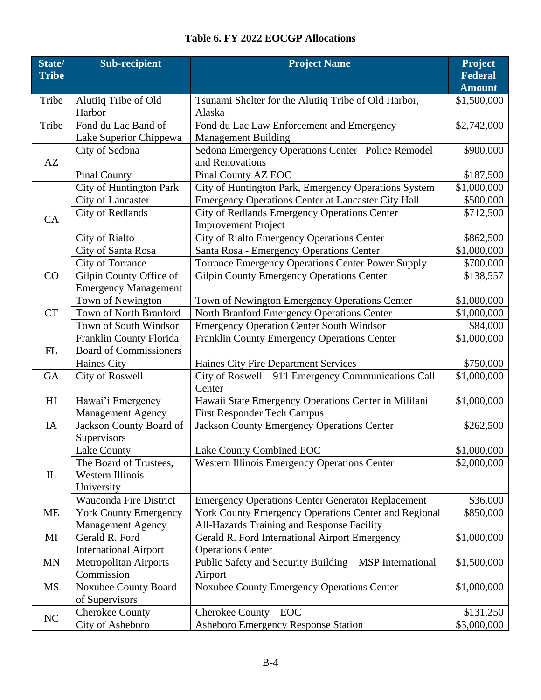# **Table 6. FY 2022 EOCGP Allocations**

| State/<br><b>Tribe</b> | <b>Sub-recipient</b>                                            | <b>Project Name</b>                                                                                | <b>Project</b><br><b>Federal</b><br><b>Amount</b> |
|------------------------|-----------------------------------------------------------------|----------------------------------------------------------------------------------------------------|---------------------------------------------------|
| Tribe                  | Alutiiq Tribe of Old<br>Harbor                                  | Tsunami Shelter for the Alutiiq Tribe of Old Harbor,<br>Alaska                                     | \$1,500,000                                       |
| Tribe                  | Fond du Lac Band of<br>Lake Superior Chippewa                   | Fond du Lac Law Enforcement and Emergency<br><b>Management Building</b>                            | \$2,742,000                                       |
| AZ                     | City of Sedona                                                  | Sedona Emergency Operations Center-Police Remodel<br>and Renovations                               | \$900,000                                         |
|                        | <b>Pinal County</b>                                             | Pinal County AZ EOC                                                                                | \$187,500                                         |
|                        | City of Huntington Park                                         | City of Huntington Park, Emergency Operations System                                               | \$1,000,000                                       |
|                        | City of Lancaster                                               | <b>Emergency Operations Center at Lancaster City Hall</b>                                          | \$500,000                                         |
| CA                     | City of Redlands                                                | City of Redlands Emergency Operations Center<br><b>Improvement Project</b>                         | \$712,500                                         |
|                        | <b>City of Rialto</b>                                           | City of Rialto Emergency Operations Center                                                         | \$862,500                                         |
|                        | City of Santa Rosa                                              | Santa Rosa - Emergency Operations Center                                                           | \$1,000,000                                       |
|                        | City of Torrance                                                | <b>Torrance Emergency Operations Center Power Supply</b>                                           | \$700,000                                         |
| CO                     | Gilpin County Office of<br><b>Emergency Management</b>          | <b>Gilpin County Emergency Operations Center</b>                                                   | \$138,557                                         |
|                        | Town of Newington                                               | Town of Newington Emergency Operations Center                                                      | \$1,000,000                                       |
| <b>CT</b>              | Town of North Branford                                          | North Branford Emergency Operations Center                                                         | \$1,000,000                                       |
|                        | Town of South Windsor                                           | <b>Emergency Operation Center South Windsor</b>                                                    | \$84,000                                          |
| FL                     | Franklin County Florida<br><b>Board of Commissioners</b>        | Franklin County Emergency Operations Center                                                        | \$1,000,000                                       |
|                        | Haines City                                                     | Haines City Fire Department Services                                                               | \$750,000                                         |
| <b>GA</b>              | City of Roswell                                                 | City of Roswell - 911 Emergency Communications Call<br>Center                                      | \$1,000,000                                       |
| H <sub>I</sub>         | Hawai'i Emergency<br><b>Management Agency</b>                   | Hawaii State Emergency Operations Center in Mililani<br><b>First Responder Tech Campus</b>         | \$1,000,000                                       |
| IA                     | Jackson County Board of<br>Supervisors                          | Jackson County Emergency Operations Center                                                         | \$262,500                                         |
|                        | Lake County                                                     | Lake County Combined EOC                                                                           | \$1,000,000                                       |
| $\mathbf{L}$           | The Board of Trustees,<br><b>Western Illinois</b><br>University | <b>Western Illinois Emergency Operations Center</b>                                                | \$2,000,000                                       |
|                        | Wauconda Fire District                                          | <b>Emergency Operations Center Generator Replacement</b>                                           | \$36,000                                          |
| ME                     | <b>York County Emergency</b><br><b>Management Agency</b>        | York County Emergency Operations Center and Regional<br>All-Hazards Training and Response Facility | \$850,000                                         |
| MI                     | Gerald R. Ford<br><b>International Airport</b>                  | Gerald R. Ford International Airport Emergency<br><b>Operations Center</b>                         | \$1,000,000                                       |
| MN                     | <b>Metropolitan Airports</b><br>Commission                      | Public Safety and Security Building - MSP International<br>Airport                                 | \$1,500,000                                       |
| MS                     | Noxubee County Board<br>of Supervisors                          | Noxubee County Emergency Operations Center                                                         | \$1,000,000                                       |
| $\rm NC$               | <b>Cherokee County</b>                                          | Cherokee County – EOC                                                                              | \$131,250                                         |
|                        | City of Asheboro                                                | Asheboro Emergency Response Station                                                                | \$3,000,000                                       |